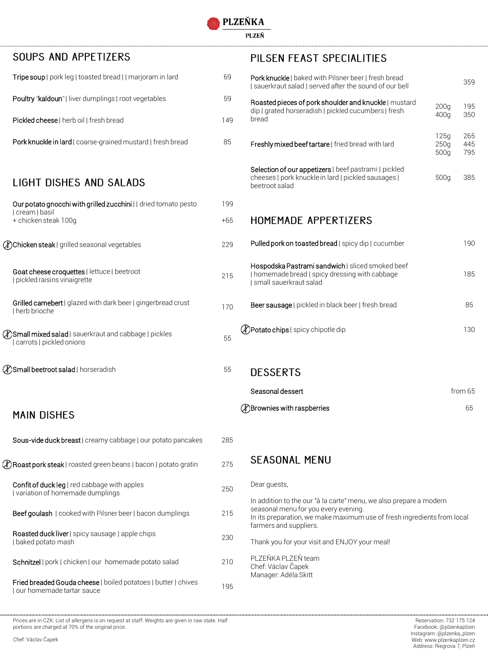PLZEŇ

| SOUPS AND APPETIZERS                                                                               |       | PILSEN FEAST SPECIALITIES                                                                                                                                                             |                      |                   |
|----------------------------------------------------------------------------------------------------|-------|---------------------------------------------------------------------------------------------------------------------------------------------------------------------------------------|----------------------|-------------------|
| Tripe soup   pork leg   toasted bread     marjoram in lard                                         | 69    | Pork knuckle   baked with Pilsner beer   fresh bread<br>  sauerkraut salad   served after the sound of our bell                                                                       |                      | 35 <sup>c</sup>   |
| Poultry "kaldoun"   liver dumplings   root vegetables                                              | 59    | Roasted pieces of pork shoulder and knuckle   mustard                                                                                                                                 | 200q                 | 195               |
| Pickled cheese   herb oil   fresh bread                                                            | 149   | dip   grated horseradish   pickled cucumbers   fresh<br>bread                                                                                                                         | 400g                 | <b>350</b>        |
| Pork knuckle in lard   coarse-grained mustard   fresh bread                                        | 85    | Freshly mixed beef tartare   fried bread with lard                                                                                                                                    | 125q<br>250q<br>500g | 265<br>445<br>795 |
| LIGHT DISHES AND SALADS                                                                            |       | Selection of our appetizers   beef pastrami   pickled<br>cheeses   pork knuckle in lard   pickled sausages  <br>beetroot salad                                                        | 500g                 | 385               |
| Our potato gnocchi with grilled zucchini     dried tomato pesto                                    | 199   |                                                                                                                                                                                       |                      |                   |
| cream   basil<br>+ chicken steak 100g                                                              | $+65$ | <b>HOMEMADE APPERTIZERS</b>                                                                                                                                                           |                      |                   |
| <b><i>C</i></b> Chicken steak   grilled seasonal vegetables                                        | 229   | Pulled pork on toasted bread   spicy dip   cucumber                                                                                                                                   |                      | 190               |
| Goat cheese croquettes   lettuce   beetroot<br>  pickled raisins vinaigrette                       | 215   | Hospodska Pastrami sandwich   sliced smoked beef<br>  homemade bread   spicy dressing with cabbage<br>small sauerkraut salad                                                          |                      | 185               |
| Grilled camebert   glazed with dark beer   gingerbread crust<br>I herb brioche                     | 170   | Beer sausage   pickled in black beer   fresh bread                                                                                                                                    |                      | 85                |
| <b><i>C</i></b> Small mixed salad   sauerkraut and cabbage   pickles<br>  carrots   pickled onions | 55    | <b>DPotato chips</b>   spicy chipotle dip                                                                                                                                             |                      | <b>130</b>        |
| <b><i>C</i></b> Small beetroot salad   horseradish                                                 | 55    | <b>DESSERTS</b>                                                                                                                                                                       |                      |                   |
|                                                                                                    |       | Seasonal dessert                                                                                                                                                                      |                      | from 65           |
| <b>MAIN DISHES</b>                                                                                 |       | <b><i>A</i></b> Brownies with raspberries                                                                                                                                             |                      | 65                |
| Sous-vide duck breast   creamy cabbage   our potato pancakes                                       | 285   |                                                                                                                                                                                       |                      |                   |
| <b>(A) Roast pork steak</b>   roasted green beans   bacon   potato gratin                          | 275   | <b>SEASONAL MENU</b>                                                                                                                                                                  |                      |                   |
| Confit of duck leg   red cabbage with apples<br>I variation of homemade dumplings                  | 250   | Dear guests,                                                                                                                                                                          |                      |                   |
| Beef goulash   cooked with Pilsner beer   bacon dumplings                                          | 215   | In addition to the our "à la carte" menu, we also prepare a modern<br>seasonal menu for you every evening.<br>In its preparation, we make maximum use of fresh ingredients from local |                      |                   |
| Roasted duck liver   spicy sausage   apple chips<br>I baked potato mash                            | 230   | farmers and suppliers.<br>Thank you for your visit and ENJOY your meal!                                                                                                               |                      |                   |
| Schnitzel   pork   chicken   our homemade potato salad                                             | 210   | PLZEŇKA PLZEŇ team<br>Chef: Václav Čapek                                                                                                                                              |                      |                   |
| Fried breaded Gouda cheese   boiled potatoes   butter   chives<br>Jour homemade tartar sauce       | 195   | Manager: Adéla Skitt                                                                                                                                                                  |                      |                   |

Prices are in CZK. List of allergens is on request at staff. Weights are given in raw state. Half portions are charged at 70% of the original price.